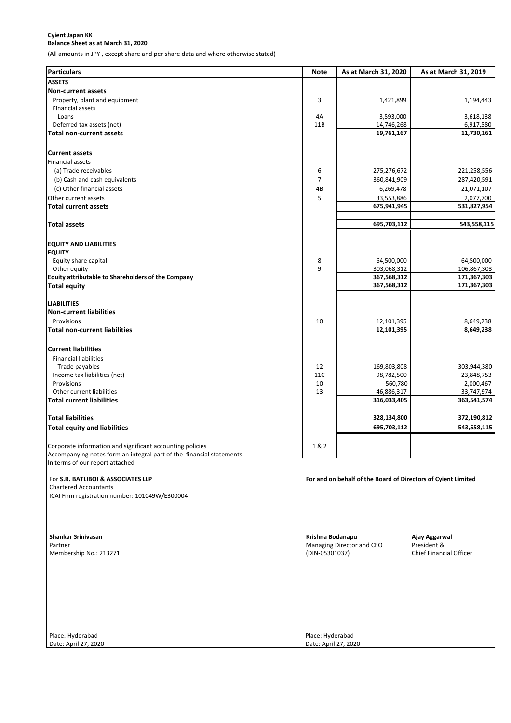## **Cyient Japan KK Balance Sheet as at March 31, 2020**

(All amounts in JPY , except share and per share data and where otherwise stated)

| <b>Particulars</b>                                                   | <b>Note</b>      | As at March 31, 2020                                          | As at March 31, 2019       |
|----------------------------------------------------------------------|------------------|---------------------------------------------------------------|----------------------------|
| <b>ASSETS</b>                                                        |                  |                                                               |                            |
| <b>Non-current assets</b>                                            |                  |                                                               |                            |
| Property, plant and equipment<br>Financial assets                    | 3                | 1,421,899                                                     | 1,194,443                  |
| Loans                                                                | 4A               | 3,593,000                                                     | 3,618,138                  |
| Deferred tax assets (net)<br><b>Total non-current assets</b>         | 11B              | 14,746,268<br>19,761,167                                      | 6,917,580<br>11,730,161    |
|                                                                      |                  |                                                               |                            |
| <b>Current assets</b>                                                |                  |                                                               |                            |
| Financial assets                                                     |                  |                                                               |                            |
| (a) Trade receivables                                                | 6                | 275,276,672                                                   | 221,258,556                |
| (b) Cash and cash equivalents                                        | 7                | 360,841,909                                                   | 287,420,591                |
| (c) Other financial assets                                           | 4B               | 6,269,478                                                     | 21,071,107                 |
| Other current assets                                                 | 5                | 33,553,886                                                    | 2,077,700                  |
| <b>Total current assets</b>                                          |                  | 675,941,945                                                   | 531,827,954                |
| <b>Total assets</b>                                                  |                  | 695,703,112                                                   | 543,558,115                |
| <b>EQUITY AND LIABILITIES</b>                                        |                  |                                                               |                            |
| <b>EQUITY</b>                                                        |                  |                                                               |                            |
| Equity share capital                                                 | 8                | 64,500,000                                                    | 64,500,000                 |
| Other equity                                                         | 9                | 303,068,312                                                   | 106,867,303                |
| Equity attributable to Shareholders of the Company                   |                  | 367,568,312<br>367,568,312                                    | 171,367,303<br>171,367,303 |
| <b>Total equity</b>                                                  |                  |                                                               |                            |
| <b>LIABILITIES</b>                                                   |                  |                                                               |                            |
| <b>Non-current liabilities</b>                                       |                  |                                                               |                            |
| Provisions                                                           | 10               | 12,101,395                                                    | 8,649,238                  |
| <b>Total non-current liabilities</b>                                 |                  | 12,101,395                                                    | 8,649,238                  |
| <b>Current liabilities</b>                                           |                  |                                                               |                            |
| <b>Financial liabilities</b>                                         |                  |                                                               |                            |
| Trade payables                                                       | 12               | 169,803,808                                                   | 303,944,380                |
| Income tax liabilities (net)                                         | <b>11C</b>       | 98,782,500                                                    | 23,848,753                 |
| Provisions                                                           | 10               | 560,780                                                       | 2,000,467                  |
| Other current liabilities                                            | 13               | 46,886,317<br>316,033,405                                     | 33,747,974<br>363,541,574  |
| <b>Total current liabilities</b>                                     |                  |                                                               |                            |
| <b>Total liabilities</b>                                             |                  | 328,134,800                                                   | 372,190,812                |
| <b>Total equity and liabilities</b>                                  |                  | 695,703,112                                                   | 543,558,115                |
| Corporate information and significant accounting policies            | 1 & 2            |                                                               |                            |
| Accompanying notes form an integral part of the financial statements |                  |                                                               |                            |
| In terms of our report attached                                      |                  |                                                               |                            |
| For S.R. BATLIBOI & ASSOCIATES LLP                                   |                  | For and on behalf of the Board of Directors of Cyient Limited |                            |
| <b>Chartered Accountants</b>                                         |                  |                                                               |                            |
| ICAI Firm registration number: 101049W/E300004                       |                  |                                                               |                            |
|                                                                      |                  |                                                               |                            |
| <b>Shankar Srinivasan</b>                                            | Krishna Bodanapu |                                                               | Ajay Aggarwal              |
| Partner                                                              |                  | Managing Director and CEO                                     | President &                |
| Membership No.: 213271                                               | (DIN-05301037)   |                                                               | Chief Financial Officer    |
|                                                                      |                  |                                                               |                            |
|                                                                      |                  |                                                               |                            |
|                                                                      |                  |                                                               |                            |
|                                                                      |                  |                                                               |                            |
|                                                                      |                  |                                                               |                            |
|                                                                      |                  |                                                               |                            |

Place: Hyderabad Place: Hyderabad

Date: April 27, 2020 Date: April 27, 2020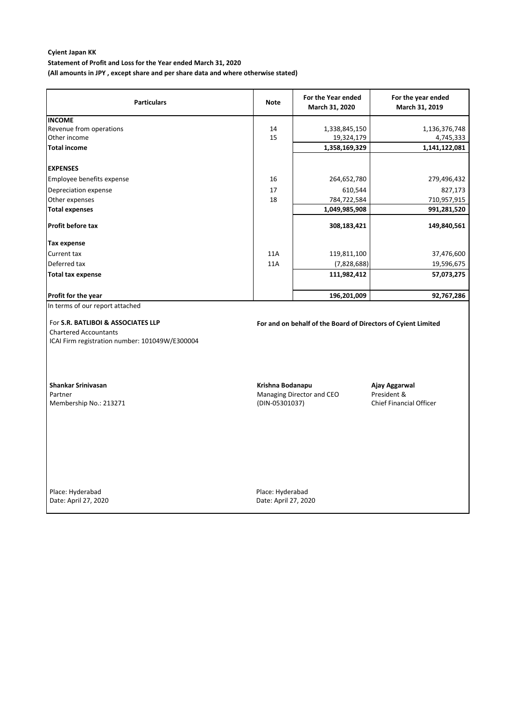**Statement of Profit and Loss for the Year ended March 31, 2020**

**(All amounts in JPY , except share and per share data and where otherwise stated)**

| <b>Particulars</b>                                                                                                   | <b>Note</b>                              | For the Year ended<br>March 31, 2020                          | For the year ended<br>March 31, 2019                           |
|----------------------------------------------------------------------------------------------------------------------|------------------------------------------|---------------------------------------------------------------|----------------------------------------------------------------|
| <b>INCOME</b>                                                                                                        |                                          |                                                               |                                                                |
| Revenue from operations                                                                                              | 14                                       | 1,338,845,150                                                 | 1,136,376,748                                                  |
| Other income                                                                                                         | 15                                       | 19,324,179                                                    | 4,745,333                                                      |
| <b>Total income</b>                                                                                                  |                                          | 1,358,169,329                                                 | 1,141,122,081                                                  |
| <b>EXPENSES</b>                                                                                                      |                                          |                                                               |                                                                |
| Employee benefits expense                                                                                            | 16                                       | 264,652,780                                                   | 279,496,432                                                    |
| Depreciation expense                                                                                                 | 17                                       | 610,544                                                       | 827,173                                                        |
| Other expenses                                                                                                       | 18                                       | 784,722,584                                                   | 710,957,915                                                    |
| <b>Total expenses</b>                                                                                                |                                          | 1,049,985,908                                                 | 991,281,520                                                    |
| <b>Profit before tax</b>                                                                                             |                                          | 308,183,421                                                   | 149,840,561                                                    |
| Tax expense                                                                                                          |                                          |                                                               |                                                                |
| Current tax                                                                                                          | 11A                                      | 119,811,100                                                   | 37,476,600                                                     |
| Deferred tax                                                                                                         | 11A                                      | (7,828,688)                                                   | 19,596,675                                                     |
| <b>Total tax expense</b>                                                                                             |                                          | 111,982,412                                                   | 57,073,275                                                     |
| Profit for the year                                                                                                  |                                          | 196,201,009                                                   | 92,767,286                                                     |
| In terms of our report attached                                                                                      |                                          |                                                               |                                                                |
| For S.R. BATLIBOI & ASSOCIATES LLP<br><b>Chartered Accountants</b><br>ICAI Firm registration number: 101049W/E300004 |                                          | For and on behalf of the Board of Directors of Cyient Limited |                                                                |
| <b>Shankar Srinivasan</b><br>Partner<br>Membership No.: 213271                                                       | Krishna Bodanapu<br>(DIN-05301037)       | Managing Director and CEO                                     | Ajay Aggarwal<br>President &<br><b>Chief Financial Officer</b> |
| Place: Hyderabad<br>Date: April 27, 2020                                                                             | Place: Hyderabad<br>Date: April 27, 2020 |                                                               |                                                                |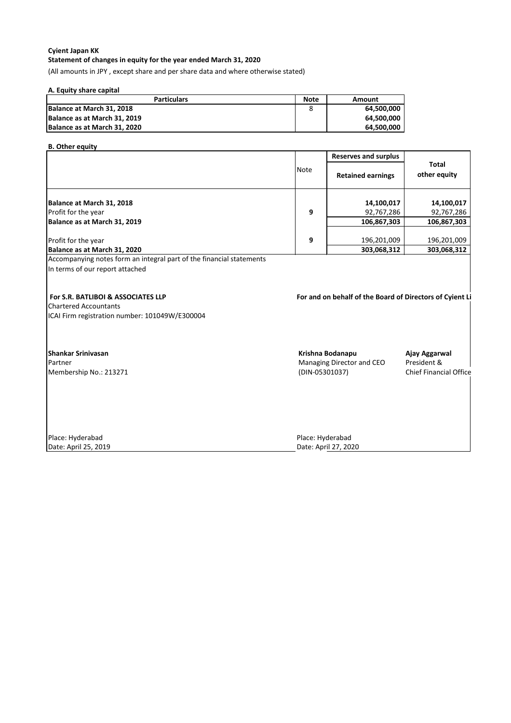## **Cyient Japan KK Statement of changes in equity for the year ended March 31, 2020**

(All amounts in JPY , except share and per share data and where otherwise stated)

## **A. Equity share capital**

| <b>Particulars</b>           | <b>Note</b> | Amount     |
|------------------------------|-------------|------------|
| Balance at March 31, 2018    |             | 64,500,000 |
| Balance as at March 31, 2019 |             | 64,500,000 |
| Balance as at March 31, 2020 |             | 64.500.000 |

## **B. Other equity**

|                                                                                |             | <b>Reserves and surplus</b>                                     |                               |
|--------------------------------------------------------------------------------|-------------|-----------------------------------------------------------------|-------------------------------|
|                                                                                | <b>Note</b> | <b>Retained earnings</b>                                        | <b>Total</b><br>other equity  |
| Balance at March 31, 2018                                                      |             | 14,100,017                                                      | 14,100,017                    |
| Profit for the year                                                            | 9           | 92,767,286                                                      | 92,767,286                    |
| Balance as at March 31, 2019                                                   |             | 106,867,303                                                     | 106,867,303                   |
| Profit for the year                                                            | 9           | 196,201,009                                                     | 196,201,009                   |
| Balance as at March 31, 2020                                                   |             | 303,068,312                                                     | 303,068,312                   |
| <b>Chartered Accountants</b><br>ICAI Firm registration number: 101049W/E300004 |             |                                                                 |                               |
| Shankar Srinivasan<br>Partner<br>Membership No.: 213271                        |             | Krishna Bodanapu<br>Managing Director and CEO<br>(DIN-05301037) | Ajay Aggarwal<br>President &  |
|                                                                                |             |                                                                 | <b>Chief Financial Office</b> |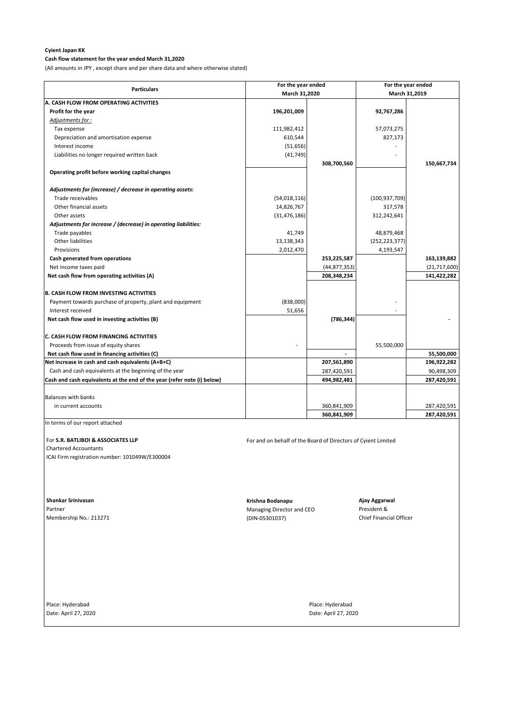## **Cash flow statement for the year ended March 31,2020**

(All amounts in JPY , except share and per share data and where otherwise stated)

Partner **Managing Director and CEO** President & Membership No.: 213271 (DIN-05301037) Chief Financial Officer

Place: Hyderabad Place: Hyderabad Place: Hyderabad Place: Hyderabad Place: Hyderabad

|                                                                         | For the year ended |                | For the year ended |                |
|-------------------------------------------------------------------------|--------------------|----------------|--------------------|----------------|
| <b>Particulars</b>                                                      |                    | March 31,2020  |                    | March 31,2019  |
| A. CASH FLOW FROM OPERATING ACTIVITIES                                  |                    |                |                    |                |
| Profit for the year                                                     | 196,201,009        |                | 92,767,286         |                |
| Adjustments for:                                                        |                    |                |                    |                |
| Tax expense                                                             | 111,982,412        |                | 57,073,275         |                |
| Depreciation and amortisation expense                                   | 610,544            |                | 827,173            |                |
| Interest income                                                         | (51, 656)          |                |                    |                |
| Liabilities no longer required written back                             | (41, 749)          |                |                    |                |
|                                                                         |                    | 308,700,560    |                    | 150,667,734    |
| Operating profit before working capital changes                         |                    |                |                    |                |
| Adjustments for (increase) / decrease in operating assets:              |                    |                |                    |                |
| Trade receivables                                                       | (54,018,116)       |                | (100, 937, 709)    |                |
| Other financial assets                                                  | 14,826,767         |                | 317,578            |                |
| Other assets                                                            | (31, 476, 186)     |                | 312,242,641        |                |
| Adjustments for increase / (decrease) in operating liabilities:         |                    |                |                    |                |
| Trade payables                                                          | 41,749             |                | 48,879,468         |                |
| <b>Other liabilities</b>                                                | 13,138,343         |                | (252, 223, 377)    |                |
| Provisions                                                              | 2,012,470          |                | 4,193,547          |                |
| Cash generated from operations                                          |                    | 253,225,587    |                    | 163,139,882    |
| Net income taxes paid                                                   |                    | (44, 877, 353) |                    | (21, 717, 600) |
| Net cash flow from operating activities (A)                             |                    | 208,348,234    |                    | 141,422,282    |
| <b>B. CASH FLOW FROM INVESTING ACTIVITIES</b>                           |                    |                |                    |                |
| Payment towards purchase of property, plant and equipment               | (838,000)          |                |                    |                |
| Interest received                                                       | 51,656             |                |                    |                |
| Net cash flow used in investing activities (B)                          |                    | (786, 344)     |                    |                |
| <b>C. CASH FLOW FROM FINANCING ACTIVITIES</b>                           |                    |                |                    |                |
| Proceeds from issue of equity shares                                    |                    |                | 55,500,000         |                |
| Net cash flow used in financing activities (C)                          |                    |                |                    | 55,500,000     |
| Net increase in cash and cash equivalents (A+B+C)                       |                    | 207,561,890    |                    | 196,922,282    |
| Cash and cash equivalents at the beginning of the year                  |                    | 287,420,591    |                    | 90,498,309     |
| Cash and cash equivalents at the end of the year (refer note (i) below) |                    | 494,982,481    |                    | 287,420,591    |
| <b>Balances with banks</b>                                              |                    |                |                    |                |
| in current accounts                                                     |                    | 360,841,909    |                    | 287,420,591    |
|                                                                         |                    | 360,841,909    |                    | 287,420,591    |

In terms of our report attached

For S.R. BATLIBOI & ASSOCIATES LLP **For and on behalf of the Board of Directors of Cyient Limited** 

Chartered Accountants

ICAI Firm registration number: 101049W/E300004

 **Shankar Srinivasan Krishna Bodanapu Ajay Aggarwal**

Date: April 27, 2020 Date: April 27, 2020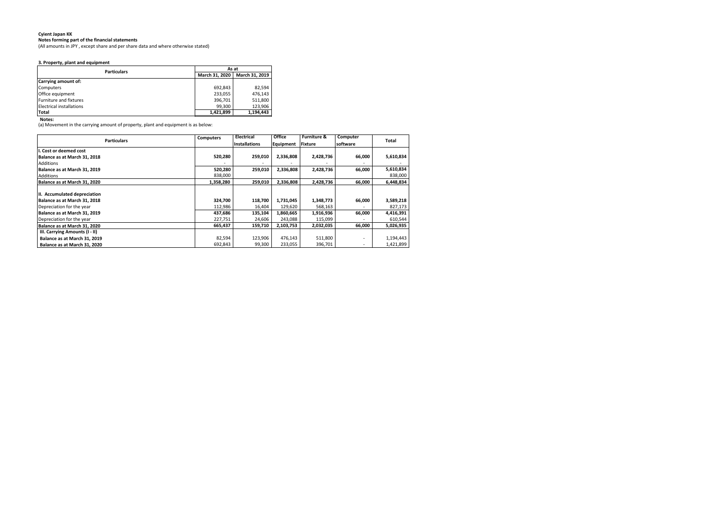**Notes forming part of the financial statements**

(All amounts in JPY , except share and per share data and where otherwise stated)

## **3. Property, plant and equipment**

**Notes:**

(a) Movement in the carrying amount of property, plant and equipment is as below:

| <b>Particulars</b>              | As at          |                |  |
|---------------------------------|----------------|----------------|--|
|                                 | March 31, 2020 | March 31, 2019 |  |
| <b>Carrying amount of:</b>      |                |                |  |
| Computers                       | 692,843        | 82,594         |  |
| Office equipment                | 233,055        | 476.143        |  |
| <b>Furniture and fixtures</b>   | 396,701        | 511,800        |  |
| <b>Electrical installations</b> | 99,300         | 123,906        |  |
| Total                           | 1.421.899      | 1,194,443      |  |

| <b>Particulars</b>             | <b>Computers</b> | <b>Electrical</b>    | <b>Office</b> | <b>Furniture &amp;</b> | Computer | <b>Total</b> |
|--------------------------------|------------------|----------------------|---------------|------------------------|----------|--------------|
|                                |                  | <b>Installations</b> | Equipment     | <b>Fixture</b>         | software |              |
| I. Cost or deemed cost         |                  |                      |               |                        |          |              |
| Balance as at March 31, 2018   | 520,280          | 259,010              | 2,336,808     | 2,428,736              | 66,000   | 5,610,834    |
| <b>Additions</b>               |                  |                      |               |                        |          |              |
| Balance as at March 31, 2019   | 520,280          | 259,010              | 2,336,808     | 2,428,736              | 66,000   | 5,610,834    |
| Additions                      | 838,000          |                      |               |                        |          | 838,000      |
| Balance as at March 31, 2020   | 1,358,280        | 259,010              | 2,336,808     | 2,428,736              | 66,000   | 6,448,834    |
| III. Accumulated depreciation  |                  |                      |               |                        |          |              |
| Balance as at March 31, 2018   | 324,700          | 118,700              | 1,731,045     | 1,348,773              | 66,000   | 3,589,218    |
| Depreciation for the year      | 112,986          | 16,404               | 129,620       | 568,163                |          | 827,173      |
| Balance as at March 31, 2019   | 437,686          | 135,104              | 1,860,665     | 1,916,936              | 66,000   | 4,416,391    |
| Depreciation for the year      | 227,751          | 24,606               | 243,088       | 115,099                |          | 610,544      |
| Balance as at March 31, 2020   | 665,437          | 159,710              | 2,103,753     | 2,032,035              | 66,000   | 5,026,935    |
| III. Carrying Amounts (I - II) |                  |                      |               |                        |          |              |
| Balance as at March 31, 2019   | 82,594           | 123,906              | 476,143       | 511,800                |          | 1,194,443    |
| Balance as at March 31, 2020   | 692,843          | 99,300               | 233,055       | 396,701                |          | 1,421,899    |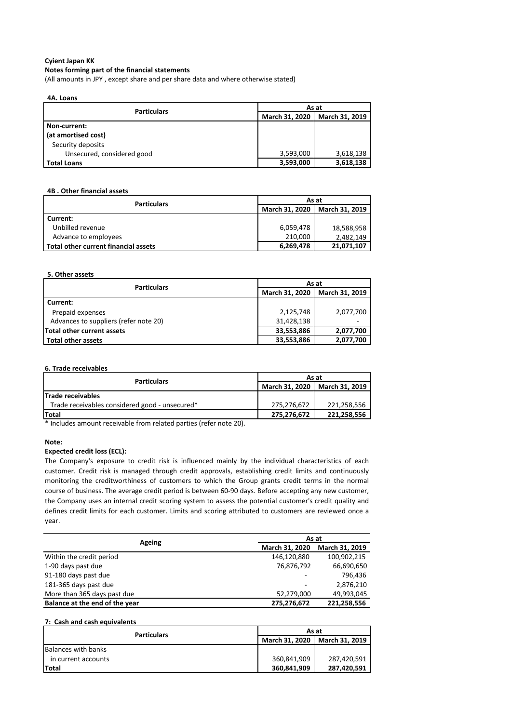### **Notes forming part of the financial statements**

(All amounts in JPY , except share and per share data and where otherwise stated)

| 4A. Loans                  |                       |                       |  |  |
|----------------------------|-----------------------|-----------------------|--|--|
| <b>Particulars</b>         | As at                 |                       |  |  |
|                            | <b>March 31, 2020</b> | <b>March 31, 2019</b> |  |  |
| Non-current:               |                       |                       |  |  |
| (at amortised cost)        |                       |                       |  |  |
| Security deposits          |                       |                       |  |  |
| Unsecured, considered good | 3,593,000             | 3,618,138             |  |  |
| <b>Total Loans</b>         | 3,593,000             | 3,618,138             |  |  |

### **4B . Other financial assets**

| <b>Particulars</b>                          | As at                              |            |  |
|---------------------------------------------|------------------------------------|------------|--|
|                                             | March 31, 2020  <br>March 31, 2019 |            |  |
| Current:                                    |                                    |            |  |
| Unbilled revenue                            | 6,059,478                          | 18,588,958 |  |
| Advance to employees                        | 210,000                            | 2,482,149  |  |
| <b>Total other current financial assets</b> | 6,269,478                          | 21,071,107 |  |

#### **5. Other assets**

| <b>Particulars</b>                    | As at                            |           |  |
|---------------------------------------|----------------------------------|-----------|--|
|                                       | March 31, 2020<br>March 31, 2019 |           |  |
| Current:                              |                                  |           |  |
| Prepaid expenses                      | 2,125,748                        | 2,077,700 |  |
| Advances to suppliers (refer note 20) | 31,428,138                       |           |  |
| Total other current assets            | 33,553,886                       | 2,077,700 |  |
| Total other assets                    | 33,553,886                       | 2,077,700 |  |

#### **6. Trade receivables**

| <b>Particulars</b>                             | As at                           |             |  |
|------------------------------------------------|---------------------------------|-------------|--|
|                                                | March 31, 2020   March 31, 2019 |             |  |
| <b>Trade receivables</b>                       |                                 |             |  |
| Trade receivables considered good - unsecured* | 275,276,672                     | 221.258.556 |  |
| <b>Total</b>                                   | 275,276,672                     | 221.258.556 |  |

\* Includes amount receivable from related parties (refer note 20).

#### **Note:**

### **Expected credit loss (ECL):**

The Company's exposure to credit risk is influenced mainly by the individual characteristics of each customer. Credit risk is managed through credit approvals, establishing credit limits and continuously monitoring the creditworthiness of customers to which the Group grants credit terms in the normal course of business. The average credit period is between 60-90 days. Before accepting any new customer, the Company uses an internal credit scoring system to assess the potential customer's credit quality and defines credit limits for each customer. Limits and scoring attributed to customers are reviewed once a year.

| Ageing                         | As at          |                |  |
|--------------------------------|----------------|----------------|--|
|                                | March 31, 2020 | March 31, 2019 |  |
| Within the credit period       | 146,120,880    | 100,902,215    |  |
| 1-90 days past due             | 76,876,792     | 66,690,650     |  |
| 91-180 days past due           |                | 796.436        |  |
| 181-365 days past due          | -              | 2,876,210      |  |
| More than 365 days past due    | 52,279,000     | 49,993,045     |  |
| Balance at the end of the year | 275,276,672    | 221,258,556    |  |

#### **7: Cash and cash equivalents**

| <b>Particulars</b>  | As at                           |             |
|---------------------|---------------------------------|-------------|
|                     | March 31, 2020   March 31, 2019 |             |
| Balances with banks |                                 |             |
| in current accounts | 360.841.909                     | 287.420.591 |
| <b>Total</b>        | 360,841,909                     | 287,420,591 |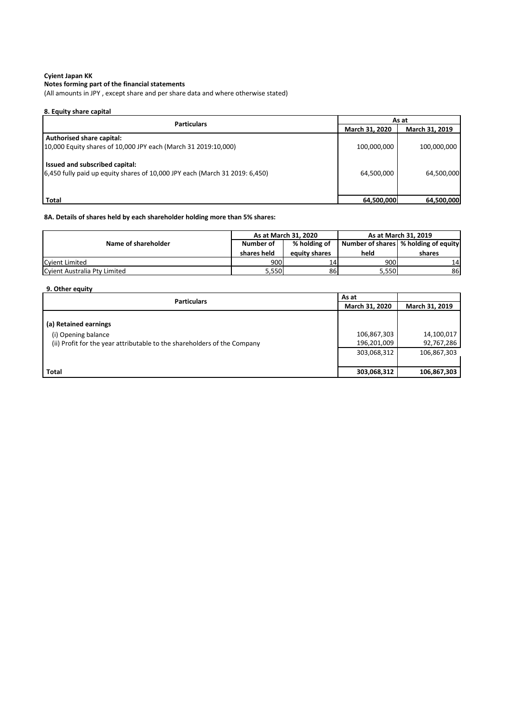## **Cyient Japan KK Notes forming part of the financial statements**

(All amounts in JPY , except share and per share data and where otherwise stated)

| 8. Equity share capital                                                     |                |                |  |
|-----------------------------------------------------------------------------|----------------|----------------|--|
| <b>Particulars</b>                                                          |                | As at          |  |
|                                                                             | March 31, 2020 | March 31, 2019 |  |
| <b>Authorised share capital:</b>                                            |                |                |  |
| 10,000 Equity shares of 10,000 JPY each (March 31 2019:10,000)              | 100,000,000    | 100,000,000    |  |
| Issued and subscribed capital:                                              |                |                |  |
| 6,450 fully paid up equity shares of 10,000 JPY each (March 31 2019: 6,450) | 64,500,000     | 64,500,000     |  |
|                                                                             |                |                |  |
| <b>Total</b>                                                                | 64,500,000     | 64,500,000     |  |

## **8A. Details of shares held by each shareholder holding more than 5% shares:**

|                              | As at March 31, 2020 |               | As at March 31, 2019 |                                        |
|------------------------------|----------------------|---------------|----------------------|----------------------------------------|
| Name of shareholder          | Number of            | % holding of  |                      | Number of shares   % holding of equity |
|                              | shares held          | equity shares | held                 | shares                                 |
| <b>Cyient Limited</b>        | 900                  | ι4            | 900                  | 14                                     |
| Cyient Australia Pty Limited | 5.550                | 86            | 5,550                | 86                                     |

## **9. Other equity**

| <b>Particulars</b>                                                                                                       | As at                                     |                                         |
|--------------------------------------------------------------------------------------------------------------------------|-------------------------------------------|-----------------------------------------|
|                                                                                                                          | <b>March 31, 2020</b>                     | March 31, 2019                          |
| (a) Retained earnings<br>(i) Opening balance<br>(ii) Profit for the year attributable to the shareholders of the Company | 106,867,303<br>196,201,009<br>303,068,312 | 14,100,017<br>92,767,286<br>106,867,303 |
|                                                                                                                          |                                           |                                         |
| <b>Total</b>                                                                                                             | 303,068,312                               | 106,867,303                             |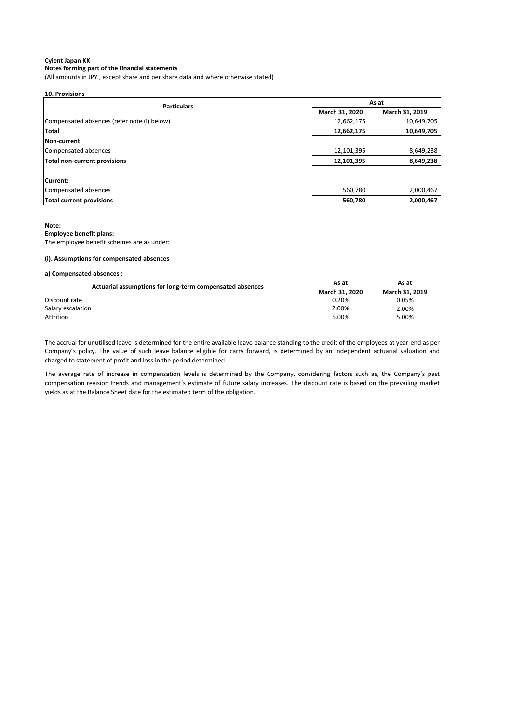**Notes forming part of the financial statements**

(All amounts in JPY , except share and per share data and where otherwise stated)

| <b>10. Provisions</b> |
|-----------------------|
|                       |

| <b>Particulars</b>                          | As at          |                |
|---------------------------------------------|----------------|----------------|
|                                             | March 31, 2020 | March 31, 2019 |
| Compensated absences (refer note (i) below) | 12,662,175     | 10,649,705     |
| Total                                       | 12,662,175     | 10,649,705     |
| <b>INon-current:</b>                        |                |                |
| Compensated absences                        | 12,101,395     | 8,649,238      |
| Total non-current provisions                | 12,101,395     | 8,649,238      |
|                                             |                |                |
| Current:                                    |                |                |
| Compensated absences                        | 560,780        | 2,000,467      |
| <b>Total current provisions</b>             | 560,780        | 2,000,467      |

#### **Note:**

### **Employee benefit plans:**

The employee benefit schemes are as under:

#### **(i). Assumptions for compensated absences**

| a) Compensated absences :                                |                       |                |  |
|----------------------------------------------------------|-----------------------|----------------|--|
| Actuarial assumptions for long-term compensated absences | As at                 | As at          |  |
|                                                          | <b>March 31, 2020</b> | March 31, 2019 |  |
| Discount rate                                            | 0.20%                 | 0.05%          |  |
| Salary escalation                                        | 2.00%                 | 2.00%          |  |
| Attrition                                                | 5.00%                 | 5.00%          |  |

The accrual for unutilised leave is determined for the entire available leave balance standing to the credit of the employees at year-end as per Company's policy. The value of such leave balance eligible for carry forward, is determined by an independent actuarial valuation and charged to statement of profit and loss in the period determined.

The average rate of increase in compensation levels is determined by the Company, considering factors such as, the Company's past compensation revision trends and management's estimate of future salary increases. The discount rate is based on the prevailing market yields as at the Balance Sheet date for the estimated term of the obligation.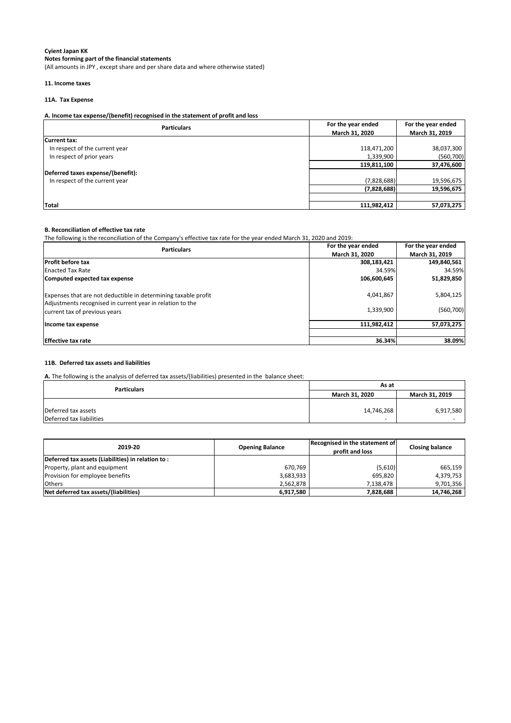## **Cyient Japan KK Notes forming part of the financial statements**

(All amounts in JPY , except share and per share data and where otherwise stated)

## **11. Income taxes**

## **11A. Tax Expense**

## **A. Income tax expense/(benefit) recognised in the statement of profit and loss**

| <b>Particulars</b>                | For the year ended | For the year ended |
|-----------------------------------|--------------------|--------------------|
|                                   | March 31, 2020     | March 31, 2019     |
| Current tax:                      |                    |                    |
| In respect of the current year    | 118,471,200        | 38,037,300         |
| In respect of prior years         | 1,339,900          | (560, 700)         |
|                                   | 119,811,100        | 37,476,600         |
| Deferred taxes expense/(benefit): |                    |                    |
| In respect of the current year    | (7,828,688)        | 19,596,675         |
|                                   | (7,828,688)        | 19,596,675         |
|                                   |                    |                    |
| Total                             | 111,982,412        | 57,073,275         |

### **B. Reconciliation of effective tax rate**

The following is the reconciliation of the Company's effective tax rate for the year ended March 31, 2020 and 2019:

| <b>Particulars</b>                                                                         | For the year ended    | For the year ended |
|--------------------------------------------------------------------------------------------|-----------------------|--------------------|
|                                                                                            | <b>March 31, 2020</b> | March 31, 2019     |
| <b>Profit before tax</b>                                                                   | 308,183,421           | 149,840,561        |
| <b>Enacted Tax Rate</b>                                                                    | 34.59%                | 34.59%             |
| Computed expected tax expense                                                              | 106,600,645           | 51,829,850         |
| Expenses that are not deductible in determining taxable profit                             | 4,041,867             | 5,804,125          |
| Adjustments recognised in current year in relation to the<br>current tax of previous years | 1,339,900             | (560, 700)         |
| Income tax expense                                                                         | 111,982,412           | 57,073,275         |
| <b>IEffective tax rate</b>                                                                 | 36.34%                | 38.09%             |

### **11B. Deferred tax assets and liabilities**

**A.** The following is the analysis of deferred tax assets/(liabilities) presented in the balance sheet:

| <b>Particulars</b>       | As at          |                |  |
|--------------------------|----------------|----------------|--|
|                          | March 31, 2020 | March 31, 2019 |  |
|                          |                |                |  |
| Deferred tax assets      | 14,746,268     | 6,917,580      |  |
| Deferred tax liabilities | $\sim$         |                |  |

| 2019-20                                           | <b>Opening Balance</b> | Recognised in the statement of<br>profit and loss | <b>Closing balance</b> |
|---------------------------------------------------|------------------------|---------------------------------------------------|------------------------|
| Deferred tax assets (Liabilities) in relation to: |                        |                                                   |                        |
| Property, plant and equipment                     | 670.769                | (5,610)                                           | 665,159                |
| Provision for employee benefits                   | 3,683,933              | 695,820                                           | 4,379,753              |
| <b>Others</b>                                     | 2,562,878              | 7,138,478                                         | 9,701,356              |
| Net deferred tax assets/(liabilities)             | 6,917,580              | 7,828,688                                         | 14,746,268             |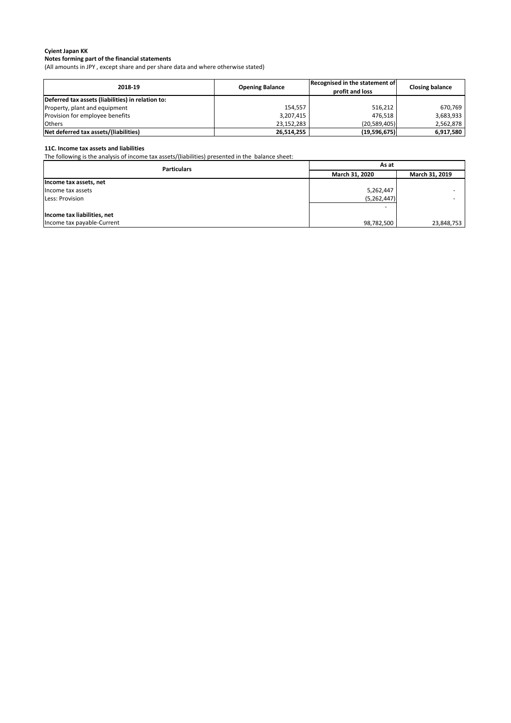## **Notes forming part of the financial statements**

(All amounts in JPY , except share and per share data and where otherwise stated)

| 2018-19                                           | <b>Opening Balance</b> | Recognised in the statement of<br>profit and loss | <b>Closing balance</b> |
|---------------------------------------------------|------------------------|---------------------------------------------------|------------------------|
| Deferred tax assets (liabilities) in relation to: |                        |                                                   |                        |
| Property, plant and equipment                     | 154.557                | 516,212                                           | 670.769                |
| Provision for employee benefits                   | 3,207,415              | 476.518                                           | 3,683,933              |
| <b>Others</b>                                     | 23,152,283             | (20, 589, 405)                                    | 2,562,878              |
| Net deferred tax assets/(liabilities)             | 26,514,255             | (19,596,675)                                      | 6,917,580              |

#### **11C. Income tax assets and liabilities**

The following is the analysis of income tax assets/(liabilities) presented in the balance sheet:

| <b>Particulars</b>          | As at                            |            |
|-----------------------------|----------------------------------|------------|
|                             | March 31, 2020<br>March 31, 2019 |            |
| Income tax assets, net      |                                  |            |
| Income tax assets           | 5,262,447                        |            |
| Less: Provision             | (5, 262, 447)                    |            |
|                             |                                  |            |
| Income tax liabilities, net |                                  |            |
| Income tax payable-Current  | 98,782,500                       | 23,848,753 |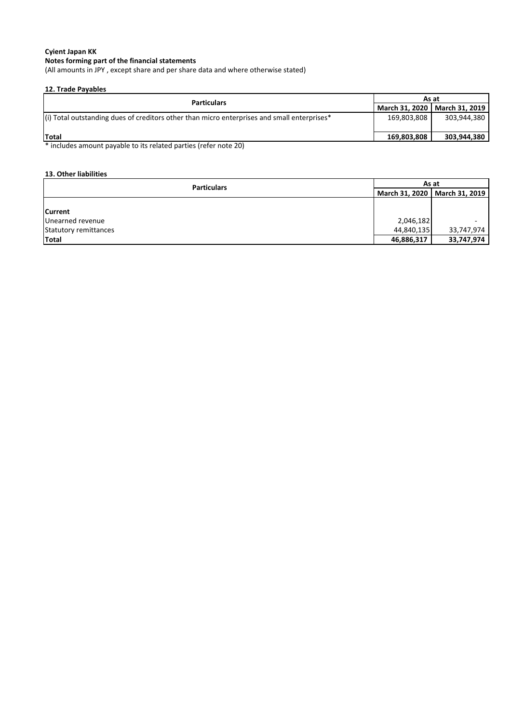## **Notes forming part of the financial statements**

(All amounts in JPY , except share and per share data and where otherwise stated)

### **12. Trade Payables**

| <b>Particulars</b>                                                                          |             | As at                           |  |
|---------------------------------------------------------------------------------------------|-------------|---------------------------------|--|
|                                                                                             |             | March 31, 2020   March 31, 2019 |  |
| (i) Total outstanding dues of creditors other than micro enterprises and small enterprises* | 169,803,808 | 303,944,380                     |  |
| Total                                                                                       | 169.803.808 | 303,944,380                     |  |
| * includes amount payable to its related parties (refer note 20)                            |             |                                 |  |

includes amount payable to its related parties (refer note 20)

## **13. Other liabilities**

| <b>Particulars</b>    |                                 | As at      |  |  |
|-----------------------|---------------------------------|------------|--|--|
|                       | March 31, 2020   March 31, 2019 |            |  |  |
|                       |                                 |            |  |  |
| <b>Current</b>        |                                 |            |  |  |
| Unearned revenue      | 2,046,182                       |            |  |  |
| Statutory remittances | 44,840,135                      | 33,747,974 |  |  |
| Total                 | 46,886,317                      | 33,747,974 |  |  |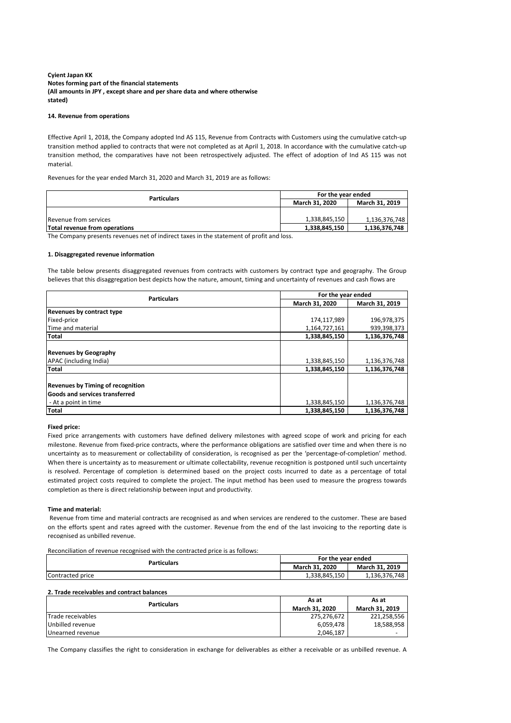## **Notes forming part of the financial statements (All amounts in JPY , except share and per share data and where otherwise stated) Cyient Japan KK**

#### **14. Revenue from operations**

Effective April 1, 2018, the Company adopted Ind AS 115, Revenue from Contracts with Customers using the cumulative catch-up transition method applied to contracts that were not completed as at April 1, 2018. In accordance with the cumulative catch-up transition method, the comparatives have not been retrospectively adjusted. The effect of adoption of Ind AS 115 was not material.

Revenues for the year ended March 31, 2020 and March 31, 2019 are as follows:

| <b>Particulars</b>            | For the year ended    |                       |
|-------------------------------|-----------------------|-----------------------|
|                               | <b>March 31, 2020</b> | <b>March 31, 2019</b> |
|                               |                       |                       |
| lRevenue from services        | 1,338,845,150         | 1,136,376,748         |
| Total revenue from operations | 1,338,845,150         | 1,136,376,748         |

The Company presents revenues net of indirect taxes in the statement of profit and loss.

#### **1. Disaggregated revenue information**

The table below presents disaggregated revenues from contracts with customers by contract type and geography. The Group believes that this disaggregation best depicts how the nature, amount, timing and uncertainty of revenues and cash flows are

| <b>Particulars</b>                       | For the year ended |                |
|------------------------------------------|--------------------|----------------|
|                                          | March 31, 2020     | March 31, 2019 |
| Revenues by contract type                |                    |                |
| Fixed-price                              | 174,117,989        | 196,978,375    |
| Time and material                        | 1,164,727,161      | 939,398,373    |
| <b>Total</b>                             | 1,338,845,150      | 1,136,376,748  |
|                                          |                    |                |
| <b>Revenues by Geography</b>             |                    |                |
| APAC (including India)                   | 1,338,845,150      | 1,136,376,748  |
| <b>Total</b>                             | 1,338,845,150      | 1,136,376,748  |
| <b>Revenues by Timing of recognition</b> |                    |                |
| <b>Goods and services transferred</b>    |                    |                |
| - At a point in time                     | 1,338,845,150      | 1,136,376,748  |
| <b>Total</b>                             | 1,338,845,150      | 1,136,376,748  |

### **Fixed price:**

Fixed price arrangements with customers have defined delivery milestones with agreed scope of work and pricing for each milestone. Revenue from fixed-price contracts, where the performance obligations are satisfied over time and when there is no uncertainty as to measurement or collectability of consideration, is recognised as per the 'percentage-of-completion' method. When there is uncertainty as to measurement or ultimate collectability, revenue recognition is postponed until such uncertainty is resolved. Percentage of completion is determined based on the project costs incurred to date as a percentage of total estimated project costs required to complete the project. The input method has been used to measure the progress towards completion as there is direct relationship between input and productivity.

#### **Time and material:**

Revenue from time and material contracts are recognised as and when services are rendered to the customer. These are based on the efforts spent and rates agreed with the customer. Revenue from the end of the last invoicing to the reporting date is recognised as unbilled revenue.

Reconciliation of revenue recognised with the contracted price is as follows:

| Particulars      | For the year ended    |                       |
|------------------|-----------------------|-----------------------|
|                  | <b>March 31, 2020</b> | <b>March 31, 2019</b> |
| Contracted price | 1.338.845.150         | 1,136,376,748         |

#### **2. Trade receivables and contract balances**

| <b>Particulars</b>        | As at                 | As at                    |
|---------------------------|-----------------------|--------------------------|
|                           | <b>March 31, 2020</b> | <b>March 31, 2019</b>    |
| <b>ITrade receivables</b> | 275,276,672           | 221,258,556              |
| Unbilled revenue          | 6,059,478             | 18,588,958               |
| Unearned revenue          | 2,046,187             | $\overline{\phantom{0}}$ |

The Company classifies the right to consideration in exchange for deliverables as either a receivable or as unbilled revenue. A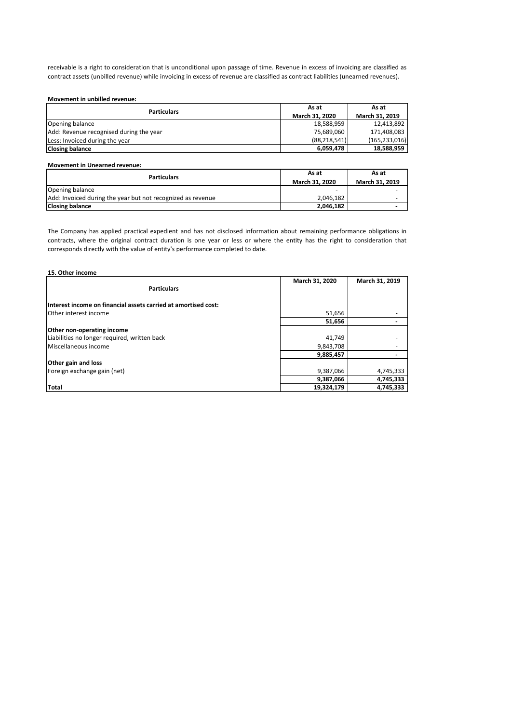receivable is a right to consideration that is unconditional upon passage of time. Revenue in excess of invoicing are classified as contract assets (unbilled revenue) while invoicing in excess of revenue are classified as contract liabilities (unearned revenues).

### **Movement in unbilled revenue:**

| <b>Particulars</b>                      | As at                 | As at                 |
|-----------------------------------------|-----------------------|-----------------------|
|                                         | <b>March 31, 2020</b> | <b>March 31, 2019</b> |
| Opening balance                         | 18,588,959            | 12,413,892            |
| Add: Revenue recognised during the year | 75,689,060            | 171,408,083           |
| Less: Invoiced during the year          | (88, 218, 541)        | (165, 233, 016)       |
| <b>Closing balance</b>                  | 6,059,478             | 18,588,959            |

### **Movement in Unearned revenue:**

| <b>Particulars</b>                                          | As at                 | As at                 |
|-------------------------------------------------------------|-----------------------|-----------------------|
|                                                             | <b>March 31, 2020</b> | <b>March 31, 2019</b> |
| Opening balance                                             |                       |                       |
| Add: Invoiced during the year but not recognized as revenue | 2,046,182             |                       |
| <b>Closing balance</b>                                      | 2,046,182             |                       |

The Company has applied practical expedient and has not disclosed information about remaining performance obligations in contracts, where the original contract duration is one year or less or where the entity has the right to consideration that corresponds directly with the value of entity's performance completed to date.

## **15. Other income Particulars March 31, 2020 March 31, 2019 Interest income on financial assets carried at amortised cost:** Other interest income 51,656  **51,656 - Other non-operating income** Liabilities no longer required, written back discussed and the set of the set of the set of the set of the set of the set of the set of the set of the set of the set of the set of the set of the set of the set of the set o Miscellaneous income  **9,885,457 - Other gain and loss** Foreign exchange gain (net) 19,387,066 4,745,333  **9,387,066 4,745,333 Total 19,324,179 4,745,333**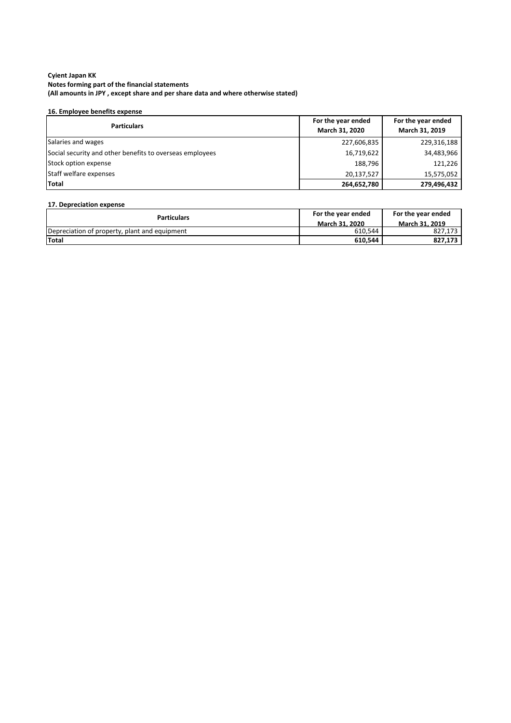## **16. Employee benefits expense**

| <b>Particulars</b>                                       | For the year ended<br>March 31, 2020 | For the year ended<br>March 31, 2019 |
|----------------------------------------------------------|--------------------------------------|--------------------------------------|
| Salaries and wages                                       | 227,606,835                          | 229,316,188                          |
| Social security and other benefits to overseas employees | 16,719,622                           | 34,483,966                           |
| Stock option expense                                     | 188,796                              | 121,226                              |
| Staff welfare expenses                                   | 20,137,527                           | 15,575,052                           |
| Total                                                    | 264,652,780                          | 279,496,432                          |

### **17. Depreciation expense**

| <b>Particulars</b>                            | For the year ended    | For the year ended    |
|-----------------------------------------------|-----------------------|-----------------------|
|                                               | <b>March 31, 2020</b> | <b>March 31, 2019</b> |
| Depreciation of property, plant and equipment | 610,544               | 827.173               |
| <b>Total</b>                                  | 610,544               | 827.173               |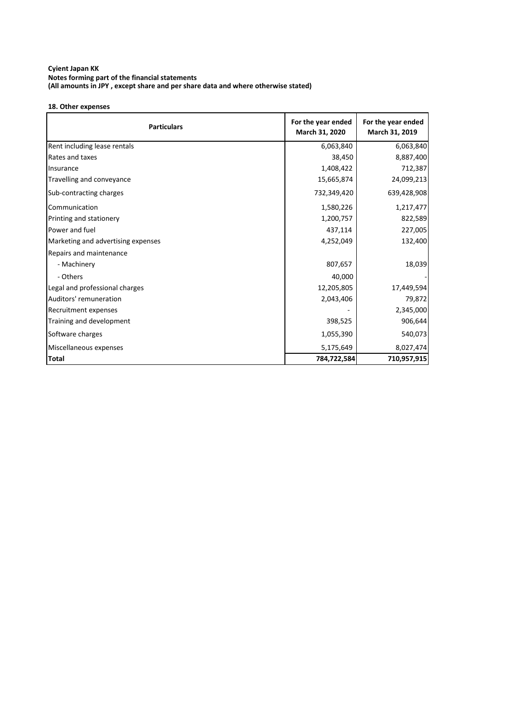## **18. Other expenses**

| <b>Particulars</b>                 | For the year ended<br>March 31, 2020 | For the year ended<br>March 31, 2019 |
|------------------------------------|--------------------------------------|--------------------------------------|
| Rent including lease rentals       | 6,063,840                            | 6,063,840                            |
| Rates and taxes                    | 38,450                               | 8,887,400                            |
| Insurance                          | 1,408,422                            | 712,387                              |
| Travelling and conveyance          | 15,665,874                           | 24,099,213                           |
| Sub-contracting charges            | 732,349,420                          | 639,428,908                          |
| Communication                      | 1,580,226                            | 1,217,477                            |
| Printing and stationery            | 1,200,757                            | 822,589                              |
| Power and fuel                     | 437,114                              | 227,005                              |
| Marketing and advertising expenses | 4,252,049                            | 132,400                              |
| Repairs and maintenance            |                                      |                                      |
| - Machinery                        | 807,657                              | 18,039                               |
| - Others                           | 40,000                               |                                      |
| Legal and professional charges     | 12,205,805                           | 17,449,594                           |
| Auditors' remuneration             | 2,043,406                            | 79,872                               |
| Recruitment expenses               |                                      | 2,345,000                            |
| Training and development           | 398,525                              | 906,644                              |
| Software charges                   | 1,055,390                            | 540,073                              |
| Miscellaneous expenses             | 5,175,649                            | 8,027,474                            |
| Total                              | 784,722,584                          | 710,957,915                          |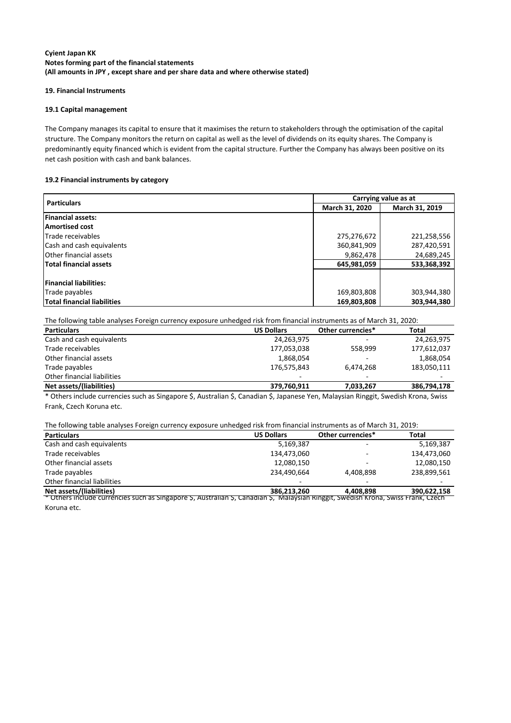### **19. Financial Instruments**

### **19.1 Capital management**

The Company manages its capital to ensure that it maximises the return to stakeholders through the optimisation of the capital structure. The Company monitors the return on capital as well as the level of dividends on its equity shares. The Company is predominantly equity financed which is evident from the capital structure. Further the Company has always been positive on its net cash position with cash and bank balances.

### **19.2 Financial instruments by category**

| <b>Particulars</b>                 | Carrying value as at             |             |  |
|------------------------------------|----------------------------------|-------------|--|
|                                    | March 31, 2020<br>March 31, 2019 |             |  |
| <b>Financial assets:</b>           |                                  |             |  |
| <b>Amortised cost</b>              |                                  |             |  |
| Trade receivables                  | 275,276,672                      | 221,258,556 |  |
| Cash and cash equivalents          | 287,420,591<br>360,841,909       |             |  |
| <b>Other financial assets</b>      | 9,862,478                        | 24,689,245  |  |
| Total financial assets             | 533,368,392<br>645,981,059       |             |  |
| <b>Financial liabilities:</b>      |                                  |             |  |
| Trade payables                     | 169,803,808                      | 303,944,380 |  |
| <b>Total financial liabilities</b> | 303,944,380<br>169,803,808       |             |  |

The following table analyses Foreign currency exposure unhedged risk from financial instruments as of March 31, 2020:

| <b>Particulars</b>          | <b>US Dollars</b> | Other currencies* | Total       |
|-----------------------------|-------------------|-------------------|-------------|
| Cash and cash equivalents   | 24,263,975        |                   | 24,263,975  |
| Trade receivables           | 177,053,038       | 558,999           | 177,612,037 |
| Other financial assets      | 1,868,054         | -                 | 1,868,054   |
| Trade payables              | 176,575,843       | 6,474,268         | 183,050,111 |
| Other financial liabilities |                   |                   |             |
| Net assets/(liabilities)    | 379,760,911       | 7,033,267         | 386,794,178 |
|                             |                   |                   |             |

\* Others include currencies such as Singapore \$, Australian \$, Canadian \$, Japanese Yen, Malaysian Ringgit, Swedish Krona, Swiss Frank, Czech Koruna etc.

### The following table analyses Foreign currency exposure unhedged risk from financial instruments as of March 31, 2019:

| <b>Particulars</b>          | <b>US Dollars</b> | Other currencies* | <b>Total</b> |
|-----------------------------|-------------------|-------------------|--------------|
| Cash and cash equivalents   | 5,169,387         |                   | 5,169,387    |
| Trade receivables           | 134,473,060       |                   | 134,473,060  |
| Other financial assets      | 12,080,150        | -                 | 12,080,150   |
| Trade payables              | 234,490,664       | 4,408,898         | 238,899,561  |
| Other financial liabilities |                   | -                 | -            |
| Net assets/(liabilities)    | 386,213,260       | 4,408,898         | 390,622,158  |

\* Others include currencies such as Singapore \$, Australian \$, Canadian \$, Malaysian Ringgit, Swedish Krona, Swiss Frank, Czech Koruna etc.